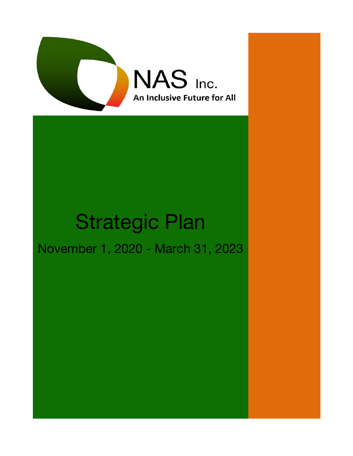

# Strategic Plan

## November 1, 2020 - March 31, 2023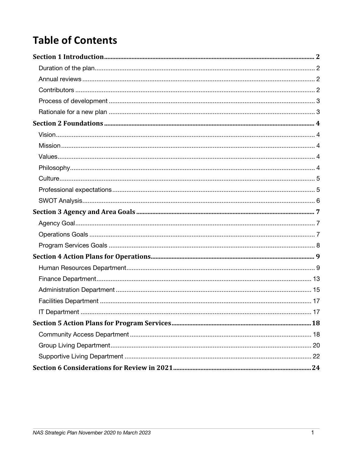## **Table of Contents**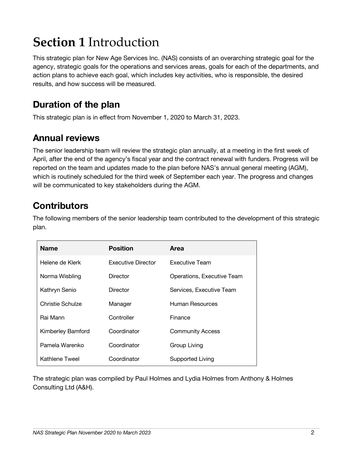## **Section 1** Introduction

This strategic plan for New Age Services Inc. (NAS) consists of an overarching strategic goal for the agency, strategic goals for the operations and services areas, goals for each of the departments, and action plans to achieve each goal, which includes key activities, who is responsible, the desired results, and how success will be measured.

### **Duration of the plan**

This strategic plan is in effect from November 1, 2020 to March 31, 2023.

### **Annual reviews**

The senior leadership team will review the strategic plan annually, at a meeting in the first week of April, after the end of the agency's fiscal year and the contract renewal with funders. Progress will be reported on the team and updates made to the plan before NAS's annual general meeting (AGM), which is routinely scheduled for the third week of September each year. The progress and changes will be communicated to key stakeholders during the AGM.

### **Contributors**

The following members of the senior leadership team contributed to the development of this strategic plan.

| <b>Name</b>       | <b>Position</b>           | Area                       |
|-------------------|---------------------------|----------------------------|
| Helene de Klerk   | <b>Executive Director</b> | <b>Executive Team</b>      |
| Norma Wisbling    | Director                  | Operations, Executive Team |
| Kathryn Senio     | Director                  | Services, Executive Team   |
| Christie Schulze  | Manager                   | Human Resources            |
| Rai Mann          | Controller                | Finance                    |
| Kimberley Bamford | Coordinator               | <b>Community Access</b>    |
| Pamela Warenko    | Coordinator               | Group Living               |
| Kathlene Tweel    | Coordinator               | Supported Living           |

The strategic plan was compiled by Paul Holmes and Lydia Holmes from Anthony & Holmes Consulting Ltd (A&H).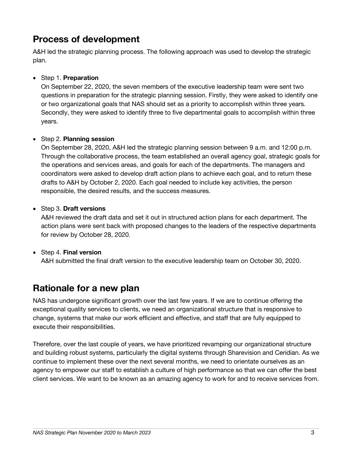### **Process of development**

A&H led the strategic planning process. The following approach was used to develop the strategic plan.

#### • Step 1. **Preparation**

On September 22, 2020, the seven members of the executive leadership team were sent two questions in preparation for the strategic planning session. Firstly, they were asked to identify one or two organizational goals that NAS should set as a priority to accomplish within three years. Secondly, they were asked to identify three to five departmental goals to accomplish within three years.

#### • Step 2. **Planning session**

On September 28, 2020, A&H led the strategic planning session between 9 a.m. and 12:00 p.m. Through the collaborative process, the team established an overall agency goal, strategic goals for the operations and services areas, and goals for each of the departments. The managers and coordinators were asked to develop draft action plans to achieve each goal, and to return these drafts to A&H by October 2, 2020. Each goal needed to include key activities, the person responsible, the desired results, and the success measures.

#### • Step 3. **Draft versions**

A&H reviewed the draft data and set it out in structured action plans for each department. The action plans were sent back with proposed changes to the leaders of the respective departments for review by October 28, 2020.

#### • Step 4. **Final version**

A&H submitted the final draft version to the executive leadership team on October 30, 2020.

### **Rationale for a new plan**

NAS has undergone significant growth over the last few years. If we are to continue offering the exceptional quality services to clients, we need an organizational structure that is responsive to change, systems that make our work efficient and effective, and staff that are fully equipped to execute their responsibilities.

Therefore, over the last couple of years, we have prioritized revamping our organizational structure and building robust systems, particularly the digital systems through Sharevision and Ceridian. As we continue to implement these over the next several months, we need to orientate ourselves as an agency to empower our staff to establish a culture of high performance so that we can offer the best client services. We want to be known as an amazing agency to work for and to receive services from.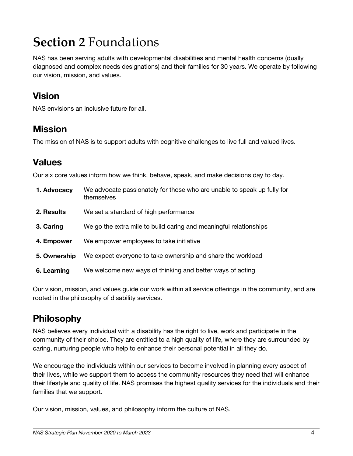## **Section 2** Foundations

NAS has been serving adults with developmental disabilities and mental health concerns (dually diagnosed and complex needs designations) and their families for 30 years. We operate by following our vision, mission, and values.

### **Vision**

NAS envisions an inclusive future for all.

### **Mission**

The mission of NAS is to support adults with cognitive challenges to live full and valued lives.

### **Values**

Our six core values inform how we think, behave, speak, and make decisions day to day.

| 1. Advocacy  | We advocate passionately for those who are unable to speak up fully for<br>themselves |
|--------------|---------------------------------------------------------------------------------------|
| 2. Results   | We set a standard of high performance                                                 |
| 3. Caring    | We go the extra mile to build caring and meaningful relationships                     |
| 4. Empower   | We empower employees to take initiative                                               |
| 5. Ownership | We expect everyone to take ownership and share the workload                           |
| 6. Learning  | We welcome new ways of thinking and better ways of acting                             |

Our vision, mission, and values guide our work within all service offerings in the community, and are rooted in the philosophy of disability services.

### **Philosophy**

NAS believes every individual with a disability has the right to live, work and participate in the community of their choice. They are entitled to a high quality of life, where they are surrounded by caring, nurturing people who help to enhance their personal potential in all they do.

We encourage the individuals within our services to become involved in planning every aspect of their lives, while we support them to access the community resources they need that will enhance their lifestyle and quality of life. NAS promises the highest quality services for the individuals and their families that we support.

Our vision, mission, values, and philosophy inform the culture of NAS.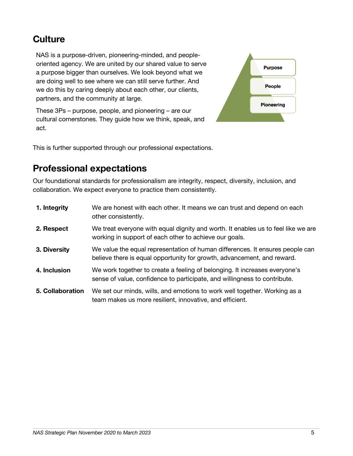### **Culture**

NAS is a purpose-driven, pioneering-minded, and peopleoriented agency. We are united by our shared value to serve a purpose bigger than ourselves. We look beyond what we are doing well to see where we can still serve further. And we do this by caring deeply about each other, our clients, partners, and the community at large.



These 3Ps – purpose, people, and pioneering – are our cultural cornerstones. They guide how we think, speak, and act.

This is further supported through our professional expectations.

### **Professional expectations**

Our foundational standards for professionalism are integrity, respect, diversity, inclusion, and collaboration. We expect everyone to practice them consistently.

| 1. Integrity     | We are honest with each other. It means we can trust and depend on each<br>other consistently.                                                           |
|------------------|----------------------------------------------------------------------------------------------------------------------------------------------------------|
| 2. Respect       | We treat everyone with equal dignity and worth. It enables us to feel like we are<br>working in support of each other to achieve our goals.              |
| 3. Diversity     | We value the equal representation of human differences. It ensures people can<br>believe there is equal opportunity for growth, advancement, and reward. |
| 4. Inclusion     | We work together to create a feeling of belonging. It increases everyone's<br>sense of value, confidence to participate, and willingness to contribute.  |
| 5. Collaboration | We set our minds, wills, and emotions to work well together. Working as a<br>team makes us more resilient, innovative, and efficient.                    |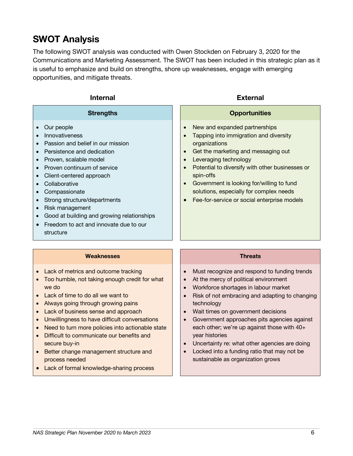### **SWOT Analysis**

The following SWOT analysis was conducted with Owen Stockden on February 3, 2020 for the Communications and Marketing Assessment. The SWOT has been included in this strategic plan as it is useful to emphasize and build on strengths, shore up weaknesses, engage with emerging opportunities, and mitigate threats.

| <b>Internal</b>                                                                                                                                                                                                                                                                                                                                                                                                                                                                                                  | <b>External</b>                                                                                                                                                                                                                                                                                                                                                                                                                                                                                 |
|------------------------------------------------------------------------------------------------------------------------------------------------------------------------------------------------------------------------------------------------------------------------------------------------------------------------------------------------------------------------------------------------------------------------------------------------------------------------------------------------------------------|-------------------------------------------------------------------------------------------------------------------------------------------------------------------------------------------------------------------------------------------------------------------------------------------------------------------------------------------------------------------------------------------------------------------------------------------------------------------------------------------------|
| <b>Strengths</b>                                                                                                                                                                                                                                                                                                                                                                                                                                                                                                 | <b>Opportunities</b>                                                                                                                                                                                                                                                                                                                                                                                                                                                                            |
| Our people<br>$\bullet$<br>Innovativeness<br>Passion and belief in our mission<br>Persistence and dedication<br>$\bullet$<br>Proven, scalable model<br>$\bullet$<br>Proven continuum of service<br>$\bullet$<br>Client-centered approach<br>$\bullet$<br>Collaborative<br>$\bullet$<br>Compassionate<br>$\bullet$<br>Strong structure/departments<br>$\bullet$<br>Risk management<br>$\bullet$<br>Good at building and growing relationships<br>Freedom to act and innovate due to our<br>$\bullet$<br>structure | New and expanded partnerships<br>$\bullet$<br>Tapping into immigration and diversity<br>$\bullet$<br>organizations<br>Get the marketing and messaging out<br>$\bullet$<br>Leveraging technology<br>$\bullet$<br>Potential to diversify with other businesses or<br>$\bullet$<br>spin-offs<br>Government is looking for/willing to fund<br>$\bullet$<br>solutions, especially for complex needs<br>Fee-for-service or social enterprise models                                                   |
| <b>Weaknesses</b>                                                                                                                                                                                                                                                                                                                                                                                                                                                                                                | <b>Threats</b>                                                                                                                                                                                                                                                                                                                                                                                                                                                                                  |
| Lack of metrics and outcome tracking<br>Too humble, not taking enough credit for what<br>$\bullet$<br>we do<br>Lack of time to do all we want to<br>$\bullet$<br>Always going through growing pains<br>$\bullet$<br>Lack of business sense and approach<br>$\bullet$<br>Unwillingness to have difficult conversations<br>$\bullet$<br>Need to turn more policies into actionable state<br>$\bullet$<br>Difficult to communicate our benefits and<br>secure buy-in                                                | Must recognize and respond to funding trends<br>$\bullet$<br>At the mercy of political environment<br>$\bullet$<br>Workforce shortages in labour market<br>$\bullet$<br>Risk of not embracing and adapting to changing<br>$\bullet$<br>technology<br>Wait times on government decisions<br>$\bullet$<br>Government approaches pits agencies against<br>$\bullet$<br>each other; we're up against those with 40+<br>year histories<br>Uncertainty re: what other agencies are doing<br>$\bullet$ |

- Better change management structure and process needed
- Lack of formal knowledge-sharing process
- Uncertainty re: what other agencies are doing
- Locked into a funding ratio that may not be sustainable as organization grows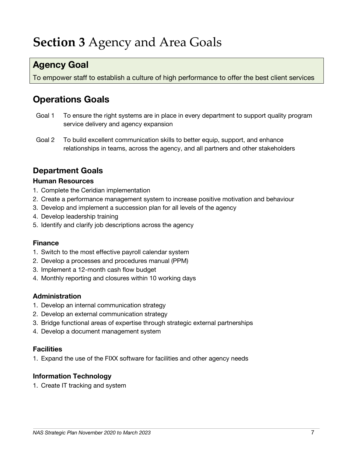## **Section 3** Agency and Area Goals

### **Agency Goal**

To empower staff to establish a culture of high performance to offer the best client services

### **Operations Goals**

- Goal 1 To ensure the right systems are in place in every department to support quality program service delivery and agency expansion
- Goal 2 To build excellent communication skills to better equip, support, and enhance relationships in teams, across the agency, and all partners and other stakeholders

#### **Department Goals**

#### **Human Resources**

- 1. Complete the Ceridian implementation
- 2. Create a performance management system to increase positive motivation and behaviour
- 3. Develop and implement a succession plan for all levels of the agency
- 4. Develop leadership training
- 5. Identify and clarify job descriptions across the agency

#### **Finance**

- 1. Switch to the most effective payroll calendar system
- 2. Develop a processes and procedures manual (PPM)
- 3. Implement a 12-month cash flow budget
- 4. Monthly reporting and closures within 10 working days

#### **Administration**

- 1. Develop an internal communication strategy
- 2. Develop an external communication strategy
- 3. Bridge functional areas of expertise through strategic external partnerships
- 4. Develop a document management system

#### **Facilities**

1. Expand the use of the FIXX software for facilities and other agency needs

#### **Information Technology**

1. Create IT tracking and system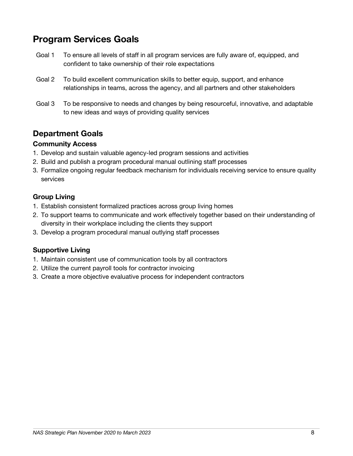### **Program Services Goals**

- Goal 1 To ensure all levels of staff in all program services are fully aware of, equipped, and confident to take ownership of their role expectations
- Goal 2 To build excellent communication skills to better equip, support, and enhance relationships in teams, across the agency, and all partners and other stakeholders
- Goal 3 To be responsive to needs and changes by being resourceful, innovative, and adaptable to new ideas and ways of providing quality services

### **Department Goals**

#### **Community Access**

- 1. Develop and sustain valuable agency-led program sessions and activities
- 2. Build and publish a program procedural manual outlining staff processes
- 3. Formalize ongoing regular feedback mechanism for individuals receiving service to ensure quality services

#### **Group Living**

- 1. Establish consistent formalized practices across group living homes
- 2. To support teams to communicate and work effectively together based on their understanding of diversity in their workplace including the clients they support
- 3. Develop a program procedural manual outlying staff processes

#### **Supportive Living**

- 1. Maintain consistent use of communication tools by all contractors
- 2. Utilize the current payroll tools for contractor invoicing
- 3. Create a more objective evaluative process for independent contractors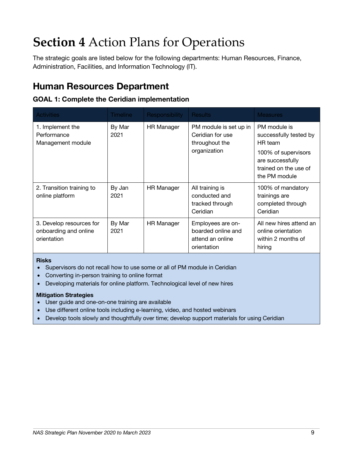## **Section 4** Action Plans for Operations

The strategic goals are listed below for the following departments: Human Resources, Finance, Administration, Facilities, and Information Technology (IT).

### **Human Resources Department**

#### **GOAL 1: Complete the Ceridian implementation**

| <b>Activities</b>                                                | Timeline       | <b>Responsibility</b> | <b>Results</b>                                                               | <b>Measures</b>                                                                                                                        |
|------------------------------------------------------------------|----------------|-----------------------|------------------------------------------------------------------------------|----------------------------------------------------------------------------------------------------------------------------------------|
| 1. Implement the<br>Performance<br>Management module             | By Mar<br>2021 | <b>HR Manager</b>     | PM module is set up in<br>Ceridian for use<br>throughout the<br>organization | PM module is<br>successfully tested by<br>HR team<br>100% of supervisors<br>are successfully<br>trained on the use of<br>the PM module |
| 2. Transition training to<br>online platform                     | By Jan<br>2021 | <b>HR Manager</b>     | All training is<br>conducted and<br>tracked through<br>Ceridian              | 100% of mandatory<br>trainings are<br>completed through<br>Ceridian                                                                    |
| 3. Develop resources for<br>onboarding and online<br>orientation | By Mar<br>2021 | <b>HR Manager</b>     | Employees are on-<br>boarded online and<br>attend an online<br>orientation   | All new hires attend an<br>online orientation<br>within 2 months of<br>hiring                                                          |

#### **Risks**

- Supervisors do not recall how to use some or all of PM module in Ceridian
- Converting in-person training to online format
- Developing materials for online platform. Technological level of new hires

- User guide and one-on-one training are available
- Use different online tools including e-learning, video, and hosted webinars
- Develop tools slowly and thoughtfully over time; develop support materials for using Ceridian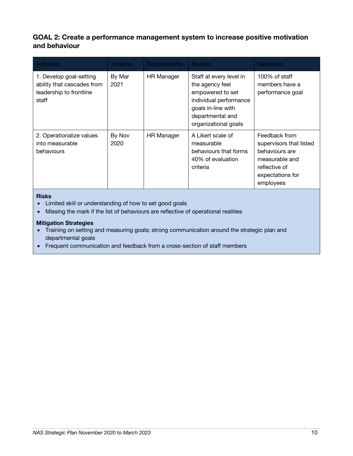#### **GOAL 2: Create a performance management system to increase positive motivation and behaviour**

| <b>Activities</b>                                                                         | <b>Timeline</b> | Responsibility    | <b>Results</b>                                                                                                                                             | <b>Measures</b>                                                                                                                |
|-------------------------------------------------------------------------------------------|-----------------|-------------------|------------------------------------------------------------------------------------------------------------------------------------------------------------|--------------------------------------------------------------------------------------------------------------------------------|
| 1. Develop goal-setting<br>ability that cascades from<br>leadership to frontline<br>staff | By Mar<br>2021  | <b>HR Manager</b> | Staff at every level in<br>the agency feel<br>empowered to set<br>individual performance<br>goals in-line with<br>departmental and<br>organizational goals | 100% of staff<br>members have a<br>performance goal                                                                            |
| 2. Operationalize values<br>into measurable<br>behaviours                                 | By Nov<br>2020  | <b>HR Manager</b> | A Likert scale of<br>measurable<br>behaviours that forms<br>40% of evaluation<br>criteria                                                                  | Feedback from<br>supervisors that listed<br>behaviours are<br>measurable and<br>reflective of<br>expectations for<br>employees |

#### **Risks**

- Limited skill or understanding of how to set good goals
- Missing the mark if the list of behaviours are reflective of operational realities

- Training on setting and measuring goals; strong communication around the strategic plan and departmental goals
- Frequent communication and feedback from a cross-section of staff members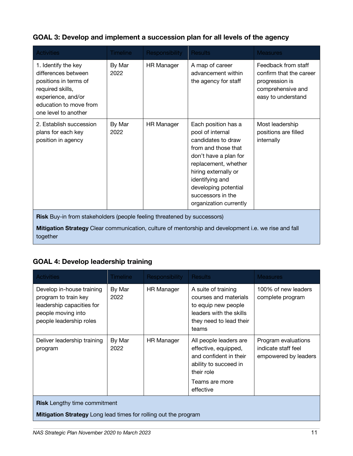#### **GOAL 3: Develop and implement a succession plan for all levels of the agency**

| <b>Activities</b>                                                                                                                                                 | <b>Timeline</b> | Responsibility    | <b>Results</b>                                                                                                                                                                                                                                          | <b>Measures</b>                                                                                             |  |
|-------------------------------------------------------------------------------------------------------------------------------------------------------------------|-----------------|-------------------|---------------------------------------------------------------------------------------------------------------------------------------------------------------------------------------------------------------------------------------------------------|-------------------------------------------------------------------------------------------------------------|--|
| 1. Identify the key<br>differences between<br>positions in terms of<br>required skills,<br>experience, and/or<br>education to move from<br>one level to another   | By Mar<br>2022  | <b>HR Manager</b> | A map of career<br>advancement within<br>the agency for staff                                                                                                                                                                                           | Feedback from staff<br>confirm that the career<br>progression is<br>comprehensive and<br>easy to understand |  |
| 2. Establish succession<br>plans for each key<br>position in agency                                                                                               | By Mar<br>2022  | <b>HR Manager</b> | Each position has a<br>pool of internal<br>candidates to draw<br>from and those that<br>don't have a plan for<br>replacement, whether<br>hiring externally or<br>identifying and<br>developing potential<br>successors in the<br>organization currently | Most leadership<br>positions are filled<br>internally                                                       |  |
| <b>Risk</b> Buy-in from stakeholders (people feeling threatened by successors)<br>the contract of the contract of the contract of the contract of the contract of |                 |                   |                                                                                                                                                                                                                                                         |                                                                                                             |  |

**Mitigation Strategy** Clear communication, culture of mentorship and development i.e. we rise and fall together

#### **GOAL 4: Develop leadership training**

| <b>Activities</b>                                                                                                               | <b>Timeline</b> | Responsibility    | <b>Results</b>                                                                                                                                 | <b>Measures</b>                                                    |  |
|---------------------------------------------------------------------------------------------------------------------------------|-----------------|-------------------|------------------------------------------------------------------------------------------------------------------------------------------------|--------------------------------------------------------------------|--|
| Develop in-house training<br>program to train key<br>leadership capacities for<br>people moving into<br>people leadership roles | By Mar<br>2022  | <b>HR Manager</b> | A suite of training<br>courses and materials<br>to equip new people<br>leaders with the skills<br>they need to lead their<br>teams             | 100% of new leaders<br>complete program                            |  |
| Deliver leadership training<br>program                                                                                          | By Mar<br>2022  | <b>HR Manager</b> | All people leaders are<br>effective, equipped,<br>and confident in their<br>ability to succeed in<br>their role<br>Teams are more<br>effective | Program evaluations<br>indicate staff feel<br>empowered by leaders |  |
| <b>Risk</b> Lengthy time commitment                                                                                             |                 |                   |                                                                                                                                                |                                                                    |  |
| <b>Mitigation Strategy</b> Long lead times for rolling out the program                                                          |                 |                   |                                                                                                                                                |                                                                    |  |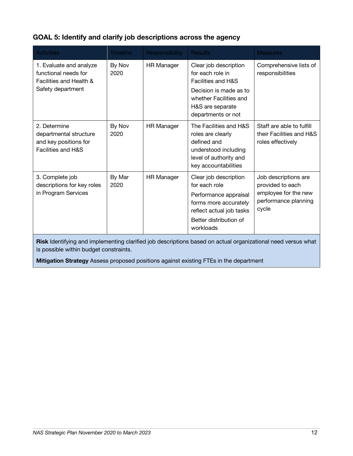#### **GOAL 5: Identify and clarify job descriptions across the agency**

| <b>Activities</b>                                                                               | <b>Timeline</b> | Responsibility    | <b>Results</b>                                                                                                                                                           | <b>Measures</b>                                                                                   |
|-------------------------------------------------------------------------------------------------|-----------------|-------------------|--------------------------------------------------------------------------------------------------------------------------------------------------------------------------|---------------------------------------------------------------------------------------------------|
| 1. Evaluate and analyze<br>functional needs for<br>Facilities and Health &<br>Safety department | By Nov<br>2020  | <b>HR Manager</b> | Clear job description<br>for each role in<br><b>Facilities and H&amp;S</b><br>Decision is made as to<br>whether Facilities and<br>H&S are separate<br>departments or not | Comprehensive lists of<br>responsibilities                                                        |
| 2. Determine<br>departmental structure<br>and key positions for<br>Facilities and H&S           | By Nov<br>2020  | <b>HR Manager</b> | The Facilities and H&S<br>roles are clearly<br>defined and<br>understood including<br>level of authority and<br>key accountabilities                                     | Staff are able to fulfill<br>their Facilities and H&S<br>roles effectively                        |
| 3. Complete job<br>descriptions for key roles<br>in Program Services                            | By Mar<br>2020  | <b>HR Manager</b> | Clear job description<br>for each role<br>Performance appraisal<br>forms more accurately<br>reflect actual job tasks<br>Better distribution of<br>workloads              | Job descriptions are<br>provided to each<br>employee for the new<br>performance planning<br>cycle |

**Risk** Identifying and implementing clarified job descriptions based on actual organizational need versus what is possible within budget constraints.

**Mitigation Strategy** Assess proposed positions against existing FTEs in the department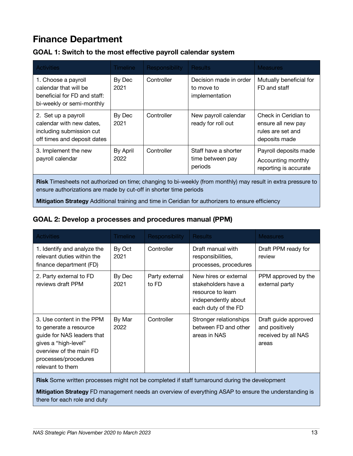### **Finance Department**

| Decision made in order<br>Controller<br>1. Choose a payroll<br>By Dec<br>calendar that will be<br>FD and staff<br>2021<br>to move to<br>beneficial for FD and staff:<br>implementation<br>bi-weekly or semi-monthly<br>By Dec<br>Controller<br>New payroll calendar<br>2. Set up a payroll<br>calendar with new dates,<br>2021<br>ready for roll out<br>including submission cut | <b>Activities</b> | <b>Timeline</b> | <b>Responsibility</b> | <b>Results</b> | <b>Measures</b>                                                                  |
|----------------------------------------------------------------------------------------------------------------------------------------------------------------------------------------------------------------------------------------------------------------------------------------------------------------------------------------------------------------------------------|-------------------|-----------------|-----------------------|----------------|----------------------------------------------------------------------------------|
|                                                                                                                                                                                                                                                                                                                                                                                  |                   |                 |                       |                | Mutually beneficial for                                                          |
| off times and deposit dates                                                                                                                                                                                                                                                                                                                                                      |                   |                 |                       |                | Check in Ceridian to<br>ensure all new pay<br>rules are set and<br>deposits made |
| By April<br>Controller<br>Staff have a shorter<br>3. Implement the new<br>payroll calendar<br>2022<br>time between pay<br>periods                                                                                                                                                                                                                                                |                   |                 |                       |                | Payroll deposits made<br>Accounting monthly<br>reporting is accurate             |

#### **GOAL 1: Switch to the most effective payroll calendar system**

**Risk** Timesheets not authorized on time; changing to bi-weekly (from monthly) may result in extra pressure to ensure authorizations are made by cut-off in shorter time periods

**Mitigation Strategy** Additional training and time in Ceridian for authorizers to ensure efficiency

#### **GOAL 2: Develop a processes and procedures manual (PPM)**

| <b>Activities</b>                                                                                                                                                                | Timeline       | Responsibility          | <b>Results</b>                                                                                                  | <b>Measures</b>                                                        |
|----------------------------------------------------------------------------------------------------------------------------------------------------------------------------------|----------------|-------------------------|-----------------------------------------------------------------------------------------------------------------|------------------------------------------------------------------------|
| 1. Identify and analyze the<br>relevant duties within the<br>finance department (FD)                                                                                             | By Oct<br>2021 | Controller              | Draft manual with<br>responsibilities,<br>processes, procedures                                                 | Draft PPM ready for<br>review                                          |
| 2. Party external to FD<br>reviews draft PPM                                                                                                                                     | By Dec<br>2021 | Party external<br>to FD | New hires or external<br>stakeholders have a<br>resource to learn<br>independently about<br>each duty of the FD | PPM approved by the<br>external party                                  |
| 3. Use content in the PPM<br>to generate a resource<br>guide for NAS leaders that<br>gives a "high-level"<br>overview of the main FD<br>processes/procedures<br>relevant to them | By Mar<br>2022 | Controller              | Stronger relationships<br>between FD and other<br>areas in NAS                                                  | Draft guide approved<br>and positively<br>received by all NAS<br>areas |

**Risk** Some written processes might not be completed if staff turnaround during the development

**Mitigation Strategy** FD management needs an overview of everything ASAP to ensure the understanding is there for each role and duty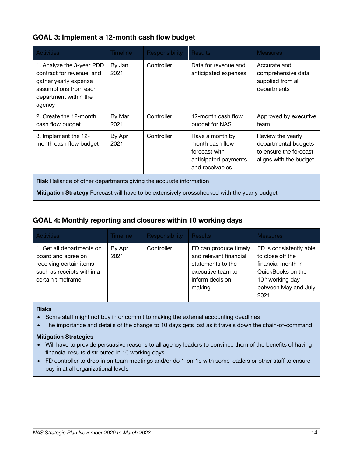#### **GOAL 3: Implement a 12-month cash flow budget**

| <b>Activities</b>                                                                                                                           | <b>Timeline</b> | Responsibility | <b>Results</b>                                                                                 | <b>Measures</b>                                                                               |  |
|---------------------------------------------------------------------------------------------------------------------------------------------|-----------------|----------------|------------------------------------------------------------------------------------------------|-----------------------------------------------------------------------------------------------|--|
| 1. Analyze the 3-year PDD<br>contract for revenue, and<br>gather yearly expense<br>assumptions from each<br>department within the<br>agency | By Jan<br>2021  | Controller     | Data for revenue and<br>anticipated expenses                                                   | Accurate and<br>comprehensive data<br>supplied from all<br>departments                        |  |
| 2. Create the 12-month<br>cash flow budget                                                                                                  | By Mar<br>2021  | Controller     | 12-month cash flow<br>budget for NAS                                                           | Approved by executive<br>team                                                                 |  |
| 3. Implement the 12-<br>month cash flow budget                                                                                              | By Apr<br>2021  | Controller     | Have a month by<br>month cash flow<br>forecast with<br>anticipated payments<br>and receivables | Review the yearly<br>departmental budgets<br>to ensure the forecast<br>aligns with the budget |  |
| Risk Reliance of other departments giving the accurate information                                                                          |                 |                |                                                                                                |                                                                                               |  |
| <b>Mitigation Strategy</b> Forecast will have to be extensively crosschecked with the yearly budget                                         |                 |                |                                                                                                |                                                                                               |  |

#### **GOAL 4: Monthly reporting and closures within 10 working days**

| <b>Activities</b>                                                                                                            | Timeline       | <b>Responsibility</b> | <b>Results</b>                                                                                                         | <b>Measures</b>                                                                                                                                        |
|------------------------------------------------------------------------------------------------------------------------------|----------------|-----------------------|------------------------------------------------------------------------------------------------------------------------|--------------------------------------------------------------------------------------------------------------------------------------------------------|
| 1. Get all departments on<br>board and agree on<br>receiving certain items<br>such as receipts within a<br>certain timeframe | By Apr<br>2021 | Controller            | FD can produce timely<br>and relevant financial<br>statements to the<br>executive team to<br>inform decision<br>making | FD is consistently able<br>to close off the<br>financial month in<br>QuickBooks on the<br>10 <sup>th</sup> working day<br>between May and July<br>2021 |

#### **Risks**

- Some staff might not buy in or commit to making the external accounting deadlines
- The importance and details of the change to 10 days gets lost as it travels down the chain-of-command

- Will have to provide persuasive reasons to all agency leaders to convince them of the benefits of having financial results distributed in 10 working days
- FD controller to drop in on team meetings and/or do 1-on-1s with some leaders or other staff to ensure buy in at all organizational levels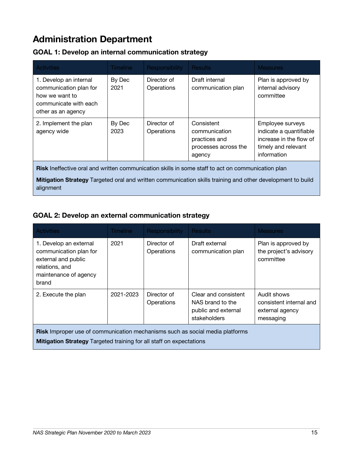### **Administration Department**

| <b>Activities</b>                                                                                                 | <b>Timeline</b> | <b>Responsibility</b>     | <b>Results</b>                                                                 | <b>Measures</b>                                                                                              |  |
|-------------------------------------------------------------------------------------------------------------------|-----------------|---------------------------|--------------------------------------------------------------------------------|--------------------------------------------------------------------------------------------------------------|--|
| 1. Develop an internal<br>communication plan for<br>how we want to<br>communicate with each<br>other as an agency | By Dec<br>2021  | Director of<br>Operations | Draft internal<br>communication plan                                           | Plan is approved by<br>internal advisory<br>committee                                                        |  |
| 2. Implement the plan<br>agency wide                                                                              | By Dec<br>2023  | Director of<br>Operations | Consistent<br>communication<br>practices and<br>processes across the<br>agency | Employee surveys<br>indicate a quantifiable<br>increase in the flow of<br>timely and relevant<br>information |  |
| <b>Risk</b> Ineffective oral and written communication skills in some staff to act on communication plan          |                 |                           |                                                                                |                                                                                                              |  |

#### **GOAL 1: Develop an internal communication strategy**

**Risk** Ineffective oral and written communication skills in some staff to act on communication plan

**Mitigation Strategy** Targeted oral and written communication skills training and other development to build alignment

#### **GOAL 2: Develop an external communication strategy**

| <b>Activities</b>                                                                                                                                                 | <b>Timeline</b> | <b>Responsibility</b>     | <b>Results</b>                                                                  | <b>Measures</b>                                                        |  |
|-------------------------------------------------------------------------------------------------------------------------------------------------------------------|-----------------|---------------------------|---------------------------------------------------------------------------------|------------------------------------------------------------------------|--|
| 1. Develop an external<br>communication plan for<br>external and public<br>relations, and<br>maintenance of agency<br>brand                                       | 2021            | Director of<br>Operations | Draft external<br>communication plan                                            | Plan is approved by<br>the project's advisory<br>committee             |  |
| 2. Execute the plan                                                                                                                                               | 2021-2023       | Director of<br>Operations | Clear and consistent<br>NAS brand to the<br>public and external<br>stakeholders | Audit shows<br>consistent internal and<br>external agency<br>messaging |  |
| <b>Risk</b> Improper use of communication mechanisms such as social media platforms<br><b>Mitigation Strategy</b> Targeted training for all staff on expectations |                 |                           |                                                                                 |                                                                        |  |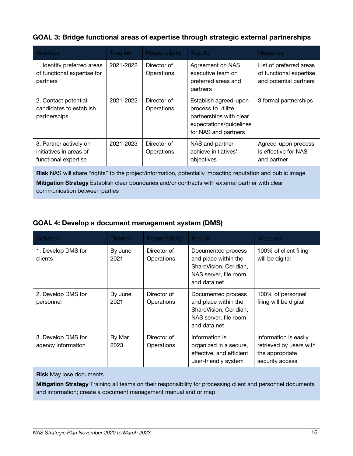#### **GOAL 3: Bridge functional areas of expertise through strategic external partnerships**

| <b>Activities</b>                                                                                                                                                                                                                               | Timeline  | Responsibility            | <b>Results</b>                                                                                                                                           | <b>Measures</b>                                            |  |
|-------------------------------------------------------------------------------------------------------------------------------------------------------------------------------------------------------------------------------------------------|-----------|---------------------------|----------------------------------------------------------------------------------------------------------------------------------------------------------|------------------------------------------------------------|--|
| 1. Identify preferred areas<br>of functional expertise for<br>partners                                                                                                                                                                          | 2021-2022 | Director of<br>Operations | Agreement on NAS<br>List of preferred areas<br>executive team on<br>of functional expertise<br>and potential partners<br>preferred areas and<br>partners |                                                            |  |
| 2. Contact potential<br>candidates to establish<br>partnerships                                                                                                                                                                                 | 2021-2022 | Director of<br>Operations | Establish agreed-upon<br>process to utilize<br>partnerships with clear<br>expectations/guidelines<br>for NAS and partners                                | 3 formal partnerships                                      |  |
| 3. Partner actively on<br>initiatives in areas of<br>functional expertise                                                                                                                                                                       | 2021-2023 | Director of<br>Operations | NAS and partner<br>achieve initiatives'<br>objectives                                                                                                    | Agreed-upon process<br>is effective for NAS<br>and partner |  |
| Risk NAS will share "rights" to the project/information, potentially impacting reputation and public image<br>Mitigation Strategy Establish clear boundaries and/or contracts with external partner with clear<br>communication between parties |           |                           |                                                                                                                                                          |                                                            |  |

#### **GOAL 4: Develop a document management system (DMS)**

| <b>Activities</b>                        | <b>Timeline</b> | Responsibility            | <b>Results</b>                                                                                                | <b>Measures</b>                                                                        |
|------------------------------------------|-----------------|---------------------------|---------------------------------------------------------------------------------------------------------------|----------------------------------------------------------------------------------------|
| 1. Develop DMS for<br>clients            | By June<br>2021 | Director of<br>Operations | Documented process<br>and place within the<br>ShareVision, Ceridian,<br>NAS server, file room<br>and data net | 100% of client filing<br>will be digital                                               |
| 2. Develop DMS for<br>personnel          | By June<br>2021 | Director of<br>Operations | Documented process<br>and place within the<br>ShareVision, Ceridian,<br>NAS server, file room<br>and data.net | 100% of personnel<br>filing will be digital                                            |
| 3. Develop DMS for<br>agency information | By Mar<br>2023  | Director of<br>Operations | Information is<br>organized in a secure,<br>effective, and efficient<br>user-friendly system                  | Information is easily<br>retrieved by users with<br>the appropriate<br>security access |

**Risk** May lose documents

**Mitigation Strategy** Training all teams on their responsibility for processing client and personnel documents and information; create a document management manual and or map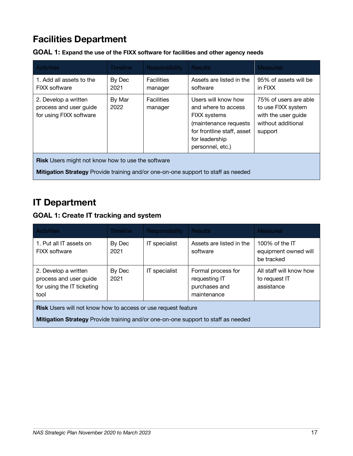### **Facilities Department**

| <b>Activities</b>                                                                 | <b>Timeline</b> | <b>Responsibility</b>        | <b>Results</b>                                                                                                                                                 | <b>Measures</b>                                                                                     |  |
|-----------------------------------------------------------------------------------|-----------------|------------------------------|----------------------------------------------------------------------------------------------------------------------------------------------------------------|-----------------------------------------------------------------------------------------------------|--|
| 1. Add all assets to the<br><b>FIXX</b> software                                  | By Dec<br>2021  | <b>Facilities</b><br>manager | Assets are listed in the<br>software                                                                                                                           | 95% of assets will be<br>in FIXX                                                                    |  |
| 2. Develop a written<br>process and user guide<br>for using FIXX software         | By Mar<br>2022  | <b>Facilities</b><br>manager | Users will know how<br>and where to access<br><b>FIXX</b> systems<br>(maintenance requests<br>for frontline staff, asset<br>for leadership<br>personnel, etc.) | 75% of users are able<br>to use FIXX system<br>with the user guide<br>without additional<br>support |  |
| <b>Risk</b> Users might not know how to use the software                          |                 |                              |                                                                                                                                                                |                                                                                                     |  |
| Mitigation Strategy Provide training and/or one-on-one support to staff as needed |                 |                              |                                                                                                                                                                |                                                                                                     |  |

**GOAL 1: Expand the use of the FIXX software for facilities and other agency needs**

### **IT Department**

#### **GOAL 1: Create IT tracking and system**

| <b>Activities</b>                                                                    | Timeline       | <b>Responsibility</b> | <b>Results</b>                                                      | <b>Measures</b>                                        |
|--------------------------------------------------------------------------------------|----------------|-----------------------|---------------------------------------------------------------------|--------------------------------------------------------|
| 1. Put all IT assets on<br><b>FIXX</b> software                                      | By Dec<br>2021 | IT specialist         | Assets are listed in the<br>software                                | 100% of the $IT$<br>equipment owned will<br>be tracked |
| 2. Develop a written<br>process and user guide<br>for using the IT ticketing<br>tool | By Dec<br>2021 | IT specialist         | Formal process for<br>requesting IT<br>purchases and<br>maintenance | All staff will know how<br>to request IT<br>assistance |

**Risk** Users will not know how to access or use request feature

**Mitigation Strategy** Provide training and/or one-on-one support to staff as needed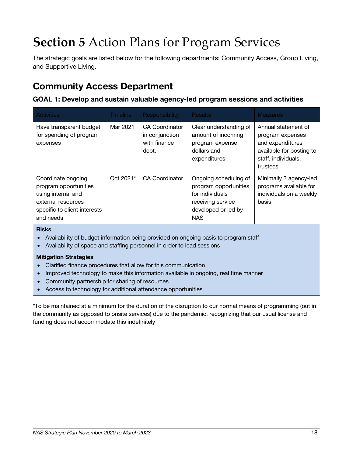## **Section 5** Action Plans for Program Services

The strategic goals are listed below for the following departments: Community Access, Group Living, and Supportive Living.

### **Community Access Department**

#### **GOAL 1: Develop and sustain valuable agency-led program sessions and activities**

| <b>Activities</b>                                                                                                                    | <b>Timeline</b> | <b>Responsibility</b>                                            | <b>Results</b>                                                                                                              | <b>Measures</b>                                                                                                            |
|--------------------------------------------------------------------------------------------------------------------------------------|-----------------|------------------------------------------------------------------|-----------------------------------------------------------------------------------------------------------------------------|----------------------------------------------------------------------------------------------------------------------------|
| Have transparent budget<br>for spending of program<br>expenses                                                                       | Mar 2021        | <b>CA Coordinator</b><br>in conjunction<br>with finance<br>dept. | Clear understanding of<br>amount of incoming<br>program expense<br>dollars and<br>expenditures                              | Annual statement of<br>program expenses<br>and expenditures<br>available for posting to<br>staff, individuals,<br>trustees |
| Coordinate ongoing<br>program opportunities<br>using internal and<br>external resources<br>specific to client interests<br>and needs | Oct 2021*       | <b>CA Coordinator</b>                                            | Ongoing scheduling of<br>program opportunities<br>for individuals<br>receiving service<br>developed or led by<br><b>NAS</b> | Minimally 3 agency-led<br>programs available for<br>individuals on a weekly<br>basis                                       |

#### **Risks**

- Availability of budget information being provided on ongoing basis to program staff
- Availability of space and staffing personnel in order to lead sessions

#### **Mitigation Strategies**

- Clarified finance procedures that allow for this communication
- Improved technology to make this information available in ongoing, real time manner
- Community partnership for sharing of resources
- Access to technology for additional attendance opportunities

\*To be maintained at a minimum for the duration of the disruption to our normal means of programming (out in the community as opposed to onsite services) due to the pandemic, recognizing that our usual license and funding does not accommodate this indefinitely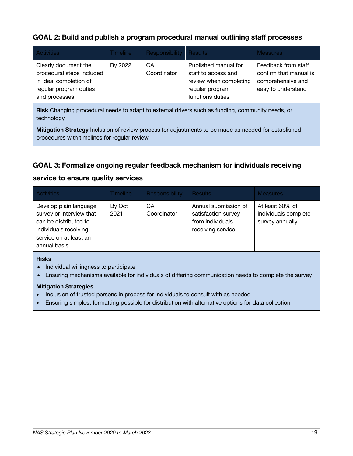#### **GOAL 2: Build and publish a program procedural manual outlining staff processes**

| <b>Activities</b>                                                                                                      | <b>Timeline</b> | Responsibility   Results |                                                                                                              | <b>Measures</b>                                                                          |
|------------------------------------------------------------------------------------------------------------------------|-----------------|--------------------------|--------------------------------------------------------------------------------------------------------------|------------------------------------------------------------------------------------------|
| Clearly document the<br>procedural steps included<br>in ideal completion of<br>regular program duties<br>and processes | By 2022         | CA<br>Coordinator        | Published manual for<br>staff to access and<br>review when completing<br>regular program<br>functions duties | Feedback from staff<br>confirm that manual is<br>comprehensive and<br>easy to understand |

**Risk** Changing procedural needs to adapt to external drivers such as funding, community needs, or technology

**Mitigation Strategy** Inclusion of review process for adjustments to be made as needed for established procedures with timelines for regular review

#### **GOAL 3: Formalize ongoing regular feedback mechanism for individuals receiving**

#### **service to ensure quality services**

| <b>Activities</b>                                                                                                                              | Timeline       | <b>Responsibility</b> | <b>Results</b>                                                                       | <b>Measures</b>                                            |
|------------------------------------------------------------------------------------------------------------------------------------------------|----------------|-----------------------|--------------------------------------------------------------------------------------|------------------------------------------------------------|
| Develop plain language<br>survey or interview that<br>can be distributed to<br>individuals receiving<br>service on at least an<br>annual basis | By Oct<br>2021 | СA<br>Coordinator     | Annual submission of<br>satisfaction survey<br>from individuals<br>receiving service | At least 60% of<br>individuals complete<br>survey annually |
|                                                                                                                                                |                |                       |                                                                                      |                                                            |

#### **Risks**

- Individual willingness to participate
- Ensuring mechanisms available for individuals of differing communication needs to complete the survey

- Inclusion of trusted persons in process for individuals to consult with as needed
- Ensuring simplest formatting possible for distribution with alternative options for data collection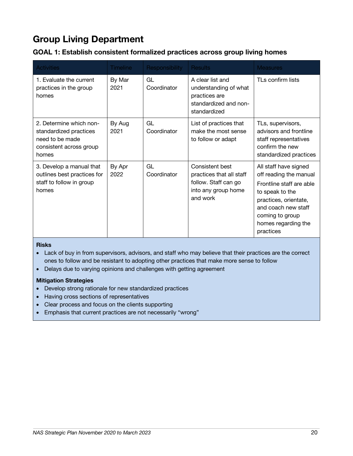### **Group Living Department**

| GOAL 1: Establish consistent formalized practices across group living homes |  |  |  |
|-----------------------------------------------------------------------------|--|--|--|
|                                                                             |  |  |  |

| <b>Activities</b>                                                                                        | <b>Timeline</b> | <b>Responsibility</b> | <b>Results</b>                                                                                         | <b>Measures</b>                                                                                                                                                                                       |
|----------------------------------------------------------------------------------------------------------|-----------------|-----------------------|--------------------------------------------------------------------------------------------------------|-------------------------------------------------------------------------------------------------------------------------------------------------------------------------------------------------------|
| 1. Evaluate the current<br>practices in the group<br>homes                                               | By Mar<br>2021  | GL<br>Coordinator     | A clear list and<br>understanding of what<br>practices are<br>standardized and non-<br>standardized    | TLs confirm lists                                                                                                                                                                                     |
| 2. Determine which non-<br>standardized practices<br>need to be made<br>consistent across group<br>homes | By Aug<br>2021  | GL<br>Coordinator     | List of practices that<br>make the most sense<br>to follow or adapt                                    | TLs, supervisors,<br>advisors and frontline<br>staff representatives<br>confirm the new<br>standardized practices                                                                                     |
| 3. Develop a manual that<br>outlines best practices for<br>staff to follow in group<br>homes             | By Apr<br>2022  | GL<br>Coordinator     | Consistent best<br>practices that all staff<br>follow. Staff can go<br>into any group home<br>and work | All staff have signed<br>off reading the manual<br>Frontline staff are able<br>to speak to the<br>practices, orientate,<br>and coach new staff<br>coming to group<br>homes regarding the<br>practices |

#### **Risks**

• Lack of buy in from supervisors, advisors, and staff who may believe that their practices are the correct ones to follow and be resistant to adopting other practices that make more sense to follow

• Delays due to varying opinions and challenges with getting agreement

- Develop strong rationale for new standardized practices
- Having cross sections of representatives
- Clear process and focus on the clients supporting
- Emphasis that current practices are not necessarily "wrong"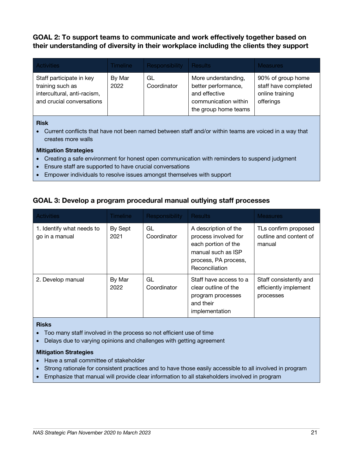**GOAL 2: To support teams to communicate and work effectively together based on their understanding of diversity in their workplace including the clients they support**

| <b>Activities</b>                                                                                        | Timeline       | Responsibility    | <b>Results</b>                                                                                              | Measures:                                                                 |
|----------------------------------------------------------------------------------------------------------|----------------|-------------------|-------------------------------------------------------------------------------------------------------------|---------------------------------------------------------------------------|
| Staff participate in key<br>training such as<br>intercultural, anti-racism,<br>and crucial conversations | By Mar<br>2022 | GL<br>Coordinator | More understanding,<br>better performance,<br>and effective<br>communication within<br>the group home teams | 90% of group home<br>staff have completed<br>online training<br>offerings |

#### **Risk**

• Current conflicts that have not been named between staff and/or within teams are voiced in a way that creates more walls

#### **Mitigation Strategies**

- Creating a safe environment for honest open communication with reminders to suspend judgment
- Ensure staff are supported to have crucial conversations
- Empower individuals to resolve issues amongst themselves with support

#### **GOAL 3: Develop a program procedural manual outlying staff processes**

| <b>Activities</b>                           | <b>Timeline</b> | <b>Responsibility</b> | <b>Results</b>                                                                                                                      | <b>Measures</b>                                              |
|---------------------------------------------|-----------------|-----------------------|-------------------------------------------------------------------------------------------------------------------------------------|--------------------------------------------------------------|
| 1. Identify what needs to<br>go in a manual | By Sept<br>2021 | GL<br>Coordinator     | A description of the<br>process involved for<br>each portion of the<br>manual such as ISP<br>process, PA process,<br>Reconciliation | TLs confirm proposed<br>outline and content of<br>manual     |
| 2. Develop manual                           | By Mar<br>2022  | GL<br>Coordinator     | Staff have access to a<br>clear outline of the<br>program processes<br>and their<br>implementation                                  | Staff consistently and<br>efficiently implement<br>processes |

#### **Risks**

- Too many staff involved in the process so not efficient use of time
- Delays due to varying opinions and challenges with getting agreement

- Have a small committee of stakeholder
- Strong rationale for consistent practices and to have those easily accessible to all involved in program
- Emphasize that manual will provide clear information to all stakeholders involved in program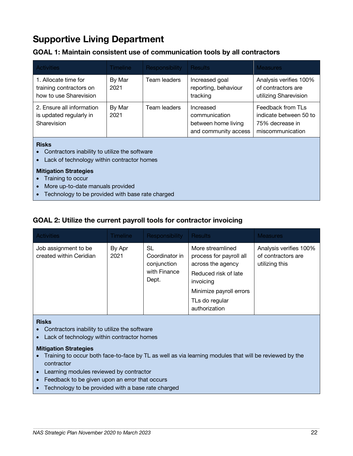### **Supportive Living Department**

#### **GOAL 1: Maintain consistent use of communication tools by all contractors**

| <b>Activities</b>                                                                                                                                                                                                                                                                               | <b>Timeline</b> | Responsibility | <b>Results</b>                                                            | <b>Measures</b>                                                                    |  |
|-------------------------------------------------------------------------------------------------------------------------------------------------------------------------------------------------------------------------------------------------------------------------------------------------|-----------------|----------------|---------------------------------------------------------------------------|------------------------------------------------------------------------------------|--|
| 1. Allocate time for<br>training contractors on<br>how to use Sharevision                                                                                                                                                                                                                       | By Mar<br>2021  | Team leaders   | Increased goal<br>reporting, behaviour<br>tracking                        | Analysis verifies 100%<br>of contractors are<br>utilizing Sharevision              |  |
| 2. Ensure all information<br>is updated regularly in<br>Sharevision                                                                                                                                                                                                                             | By Mar<br>2021  | Team leaders   | Increased<br>communication<br>between home living<br>and community access | Feedback from TLs<br>indicate between 50 to<br>75% decrease in<br>miscommunication |  |
| <b>Risks</b><br>Contractors inability to utilize the software<br>Lack of technology within contractor homes<br><b>Mitigation Strategies</b><br>Training to occur<br>More up-to-date manuals provided<br>★ Looking all and the looking and the looking the large and the looking and the looking |                 |                |                                                                           |                                                                                    |  |

#### • Technology to be provided with base rate charged

#### **GOAL 2: Utilize the current payroll tools for contractor invoicing**

| <b>Activities</b>                               | <b>Timeline</b> | Responsibility                                               | <b>Results</b>                                                                                                                                                      | <b>Measures</b>                                                |
|-------------------------------------------------|-----------------|--------------------------------------------------------------|---------------------------------------------------------------------------------------------------------------------------------------------------------------------|----------------------------------------------------------------|
| Job assignment to be<br>created within Ceridian | By Apr<br>2021  | SL<br>Coordinator in<br>conjunction<br>with Finance<br>Dept. | More streamlined<br>process for payroll all<br>across the agency<br>Reduced risk of late<br>invoicing<br>Minimize payroll errors<br>TLs do regular<br>authorization | Analysis verifies 100%<br>of contractors are<br>utilizing this |

#### **Risks**

- Contractors inability to utilize the software
- Lack of technology within contractor homes

- Training to occur both face-to-face by TL as well as via learning modules that will be reviewed by the contractor
- Learning modules reviewed by contractor
- Feedback to be given upon an error that occurs
- Technology to be provided with a base rate charged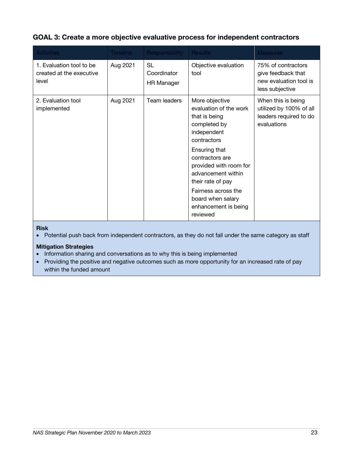#### **GOAL 3: Create a more objective evaluative process for independent contractors**

| <b>Activities</b>                                             | <b>Timeline</b> | Responsibility                         | <b>Results</b>                                                                                                                                                                                                                                                                                   | <b>Measures</b>                                                                        |
|---------------------------------------------------------------|-----------------|----------------------------------------|--------------------------------------------------------------------------------------------------------------------------------------------------------------------------------------------------------------------------------------------------------------------------------------------------|----------------------------------------------------------------------------------------|
| 1. Evaluation tool to be<br>created at the executive<br>level | Aug 2021        | SL<br>Coordinator<br><b>HR Manager</b> | Objective evaluation<br>tool                                                                                                                                                                                                                                                                     | 75% of contractors<br>give feedback that<br>new evaluation tool is<br>less subjective  |
| 2. Evaluation tool<br>implemented                             | Aug 2021        | Team leaders                           | More objective<br>evaluation of the work<br>that is being<br>completed by<br>independent<br>contractors<br>Ensuring that<br>contractors are<br>provided with room for<br>advancement within<br>their rate of pay<br>Fairness across the<br>board when salary<br>enhancement is being<br>reviewed | When this is being<br>utilized by 100% of all<br>leaders required to do<br>evaluations |

#### **Risk**

• Potential push back from independent contractors, as they do not fall under the same category as staff

#### **Mitigation Strategies**

• Information sharing and conversations as to why this is being implemented

• Providing the positive and negative outcomes such as more opportunity for an increased rate of pay within the funded amount